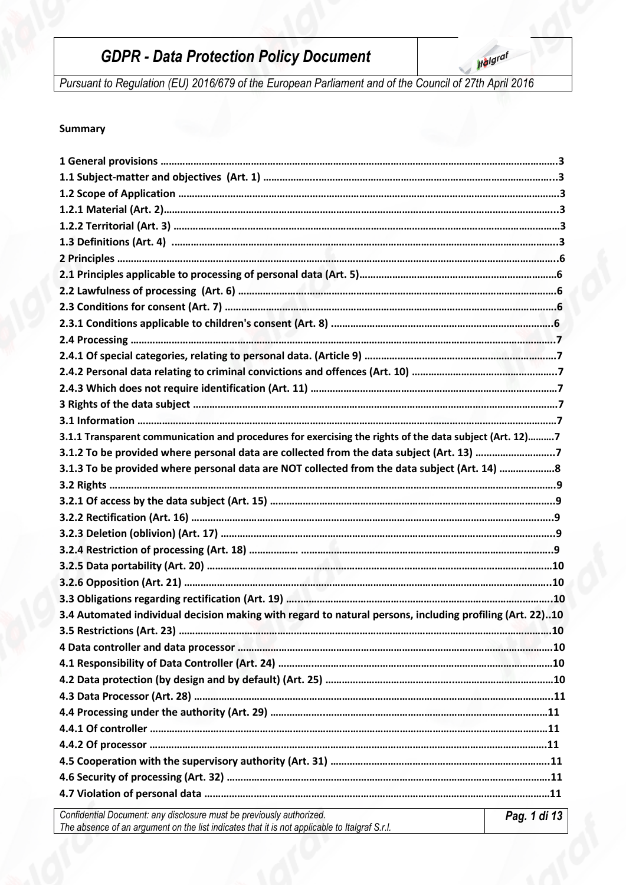**Iralgraf** 

*Pursuant to Regulation (EU) 2016/679 of the European Parliament and of the Council of 27th April 2016*

## **Summary**

| 3.1.1 Transparent communication and procedures for exercising the rights of the data subject (Art. 12)7  |              |
|----------------------------------------------------------------------------------------------------------|--------------|
| 3.1.2 To be provided where personal data are collected from the data subject (Art. 13) 7                 |              |
| 3.1.3 To be provided where personal data are NOT collected from the data subject (Art. 14) 8             |              |
|                                                                                                          |              |
|                                                                                                          |              |
|                                                                                                          |              |
|                                                                                                          |              |
|                                                                                                          |              |
|                                                                                                          |              |
|                                                                                                          |              |
|                                                                                                          |              |
| 3.4 Automated individual decision making with regard to natural persons, including profiling (Art. 22)10 |              |
|                                                                                                          |              |
|                                                                                                          |              |
|                                                                                                          |              |
|                                                                                                          |              |
|                                                                                                          |              |
|                                                                                                          |              |
|                                                                                                          |              |
|                                                                                                          |              |
|                                                                                                          |              |
|                                                                                                          |              |
|                                                                                                          |              |
| Confidential Document: any disclosure must be previously authorized.                                     | Pag. 1 di 13 |
| The absence of an argument on the list indicates that it is not applicable to Italgraf S.r.l.            |              |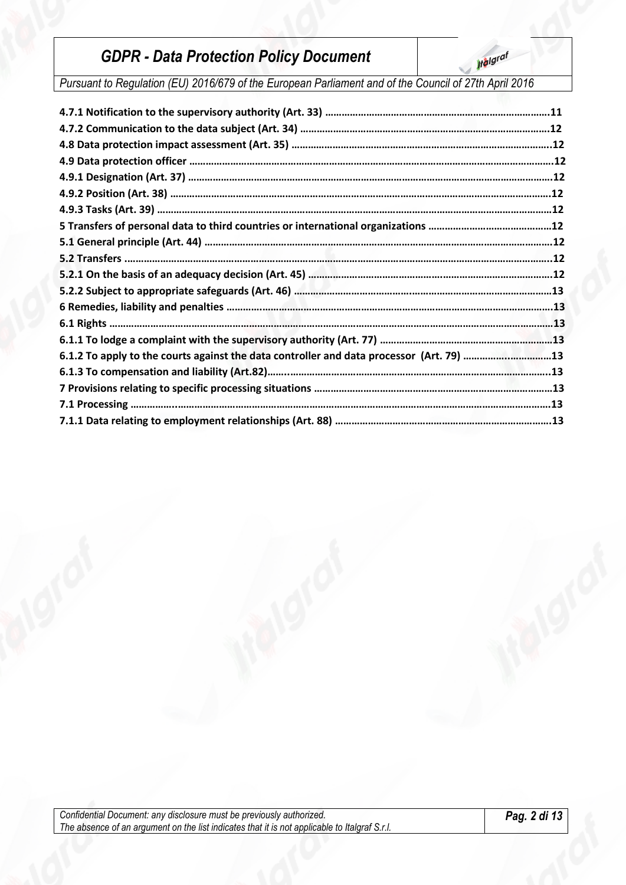**Ifalgraf** 

*Pursuant to Regulation (EU) 2016/679 of the European Parliament and of the Council of 27th April 2016*

| 6.1.2 To apply to the courts against the data controller and data processor (Art. 79) 13 |  |
|------------------------------------------------------------------------------------------|--|
|                                                                                          |  |
|                                                                                          |  |
|                                                                                          |  |
|                                                                                          |  |
|                                                                                          |  |

*Confidential Document: any disclosure must be previously authorized. The absence of an argument on the list indicates that it is not applicable to Italgraf S.r.l.*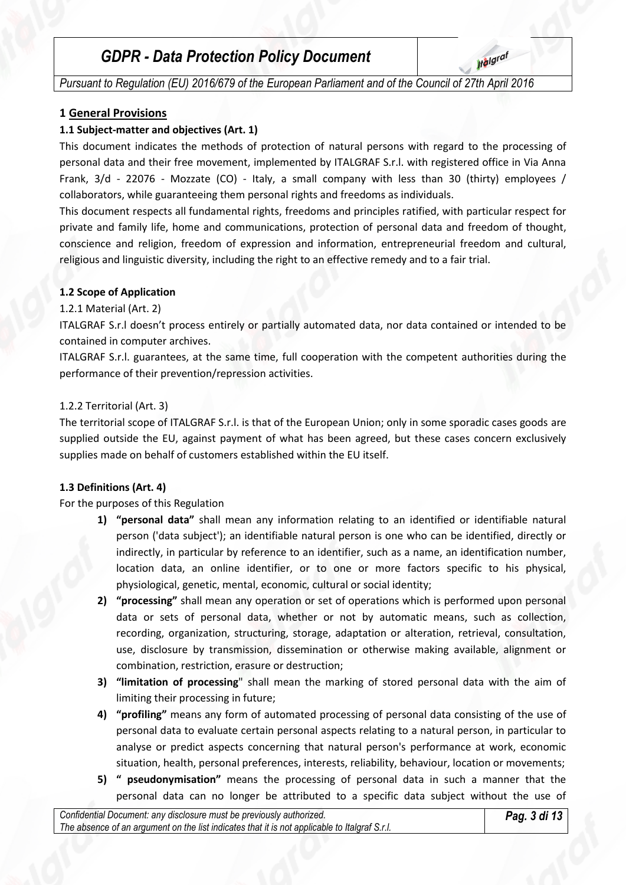**Italgraf** 

*Pursuant to Regulation (EU) 2016/679 of the European Parliament and of the Council of 27th April 2016*

## **1 General Provisions**

## **1.1 Subject-matter and objectives (Art. 1)**

This document indicates the methods of protection of natural persons with regard to the processing of personal data and their free movement, implemented by ITALGRAF S.r.l. with registered office in Via Anna Frank, 3/d - 22076 - Mozzate (CO) - Italy, a small company with less than 30 (thirty) employees / collaborators, while guaranteeing them personal rights and freedoms as individuals.

This document respects all fundamental rights, freedoms and principles ratified, with particular respect for private and family life, home and communications, protection of personal data and freedom of thought, conscience and religion, freedom of expression and information, entrepreneurial freedom and cultural, religious and linguistic diversity, including the right to an effective remedy and to a fair trial.

## **1.2 Scope of Application**

#### 1.2.1 Material (Art. 2)

ITALGRAF S.r.l doesn't process entirely or partially automated data, nor data contained or intended to be contained in computer archives.

ITALGRAF S.r.l. guarantees, at the same time, full cooperation with the competent authorities during the performance of their prevention/repression activities.

#### 1.2.2 Territorial (Art. 3)

The territorial scope of ITALGRAF S.r.l. is that of the European Union; only in some sporadic cases goods are supplied outside the EU, against payment of what has been agreed, but these cases concern exclusively supplies made on behalf of customers established within the EU itself.

## **1.3 Definitions (Art. 4)**

For the purposes of this Regulation

- **1) "personal data"** shall mean any information relating to an identified or identifiable natural person ('data subject'); an identifiable natural person is one who can be identified, directly or indirectly, in particular by reference to an identifier, such as a name, an identification number, location data, an online identifier, or to one or more factors specific to his physical, physiological, genetic, mental, economic, cultural or social identity;
- **2) "processing"** shall mean any operation or set of operations which is performed upon personal data or sets of personal data, whether or not by automatic means, such as collection, recording, organization, structuring, storage, adaptation or alteration, retrieval, consultation, use, disclosure by transmission, dissemination or otherwise making available, alignment or combination, restriction, erasure or destruction;
- **3) "limitation of processing**" shall mean the marking of stored personal data with the aim of limiting their processing in future;
- **4) "profiling"** means any form of automated processing of personal data consisting of the use of personal data to evaluate certain personal aspects relating to a natural person, in particular to analyse or predict aspects concerning that natural person's performance at work, economic situation, health, personal preferences, interests, reliability, behaviour, location or movements;
- **5) " pseudonymisation"** means the processing of personal data in such a manner that the personal data can no longer be attributed to a specific data subject without the use of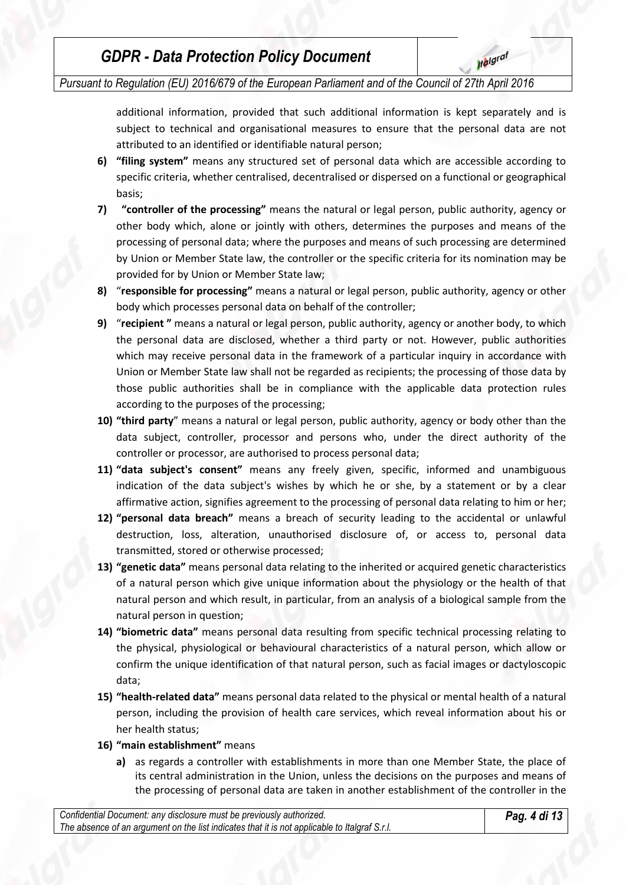*Pursuant to Regulation (EU) 2016/679 of the European Parliament and of the Council of 27th April 2016*

additional information, provided that such additional information is kept separately and is subject to technical and organisational measures to ensure that the personal data are not attributed to an identified or identifiable natural person;

- **6) "filing system"** means any structured set of personal data which are accessible according to specific criteria, whether centralised, decentralised or dispersed on a functional or geographical basis;
- **7) "controller of the processing"** means the natural or legal person, public authority, agency or other body which, alone or jointly with others, determines the purposes and means of the processing of personal data; where the purposes and means of such processing are determined by Union or Member State law, the controller or the specific criteria for its nomination may be provided for by Union or Member State law;
- **8)** "**responsible for processing"** means a natural or legal person, public authority, agency or other body which processes personal data on behalf of the controller;
- **9)** "**recipient "** means a natural or legal person, public authority, agency or another body, to which the personal data are disclosed, whether a third party or not. However, public authorities which may receive personal data in the framework of a particular inquiry in accordance with Union or Member State law shall not be regarded as recipients; the processing of those data by those public authorities shall be in compliance with the applicable data protection rules according to the purposes of the processing;
- **10) "third party**" means a natural or legal person, public authority, agency or body other than the data subject, controller, processor and persons who, under the direct authority of the controller or processor, are authorised to process personal data;
- **11) "data subject's consent"** means any freely given, specific, informed and unambiguous indication of the data subject's wishes by which he or she, by a statement or by a clear affirmative action, signifies agreement to the processing of personal data relating to him or her;
- **12) "personal data breach"** means a breach of security leading to the accidental or unlawful destruction, loss, alteration, unauthorised disclosure of, or access to, personal data transmitted, stored or otherwise processed;
- **13) "genetic data"** means personal data relating to the inherited or acquired genetic characteristics of a natural person which give unique information about the physiology or the health of that natural person and which result, in particular, from an analysis of a biological sample from the natural person in question;
- **14) "biometric data"** means personal data resulting from specific technical processing relating to the physical, physiological or behavioural characteristics of a natural person, which allow or confirm the unique identification of that natural person, such as facial images or dactyloscopic data;
- **15) "health-related data"** means personal data related to the physical or mental health of a natural person, including the provision of health care services, which reveal information about his or her health status;
- **16) "main establishment"** means
	- **a)** as regards a controller with establishments in more than one Member State, the place of its central administration in the Union, unless the decisions on the purposes and means of the processing of personal data are taken in another establishment of the controller in the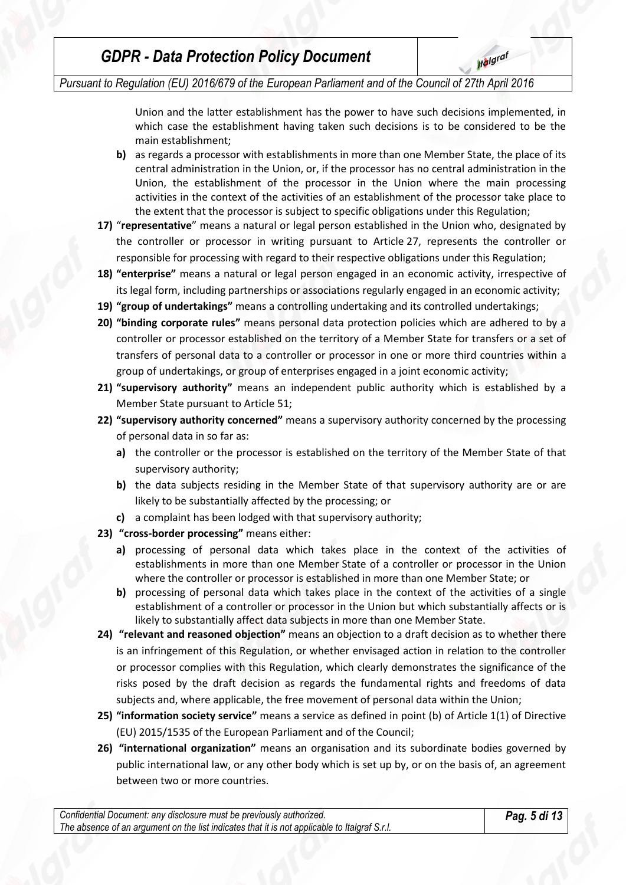*Pursuant to Regulation (EU) 2016/679 of the European Parliament and of the Council of 27th April 2016*

Union and the latter establishment has the power to have such decisions implemented, in which case the establishment having taken such decisions is to be considered to be the main establishment;

**Ifalgraf** 

- **b)** as regards a processor with establishments in more than one Member State, the place of its central administration in the Union, or, if the processor has no central administration in the Union, the establishment of the processor in the Union where the main processing activities in the context of the activities of an establishment of the processor take place to the extent that the processor is subject to specific obligations under this Regulation;
- **17)** "**representative**" means a natural or legal person established in the Union who, designated by the controller or processor in writing pursuant to Article 27, represents the controller or responsible for processing with regard to their respective obligations under this Regulation;
- **18) "enterprise"** means a natural or legal person engaged in an economic activity, irrespective of its legal form, including partnerships or associations regularly engaged in an economic activity;
- **19) "group of undertakings"** means a controlling undertaking and its controlled undertakings;
- **20) "binding corporate rules"** means personal data protection policies which are adhered to by a controller or processor established on the territory of a Member State for transfers or a set of transfers of personal data to a controller or processor in one or more third countries within a group of undertakings, or group of enterprises engaged in a joint economic activity;
- **21) "supervisory authority"** means an independent public authority which is established by a Member State pursuant to Article 51;
- **22) "supervisory authority concerned"** means a supervisory authority concerned by the processing of personal data in so far as:
	- **a)** the controller or the processor is established on the territory of the Member State of that supervisory authority;
	- **b)** the data subjects residing in the Member State of that supervisory authority are or are likely to be substantially affected by the processing; or
	- **c)** a complaint has been lodged with that supervisory authority;
- **23) "cross-border processing"** means either:
	- **a)** processing of personal data which takes place in the context of the activities of establishments in more than one Member State of a controller or processor in the Union where the controller or processor is established in more than one Member State; or
	- **b)** processing of personal data which takes place in the context of the activities of a single establishment of a controller or processor in the Union but which substantially affects or is likely to substantially affect data subjects in more than one Member State.
- **24) "relevant and reasoned objection"** means an objection to a draft decision as to whether there is an infringement of this Regulation, or whether envisaged action in relation to the controller or processor complies with this Regulation, which clearly demonstrates the significance of the risks posed by the draft decision as regards the fundamental rights and freedoms of data subjects and, where applicable, the free movement of personal data within the Union;
- **25) "information society service"** means a service as defined in point (b) of Article 1(1) of Directive (EU) 2015/1535 of the European Parliament and of the Council;
- **26) "international organization"** means an organisation and its subordinate bodies governed by public international law, or any other body which is set up by, or on the basis of, an agreement between two or more countries.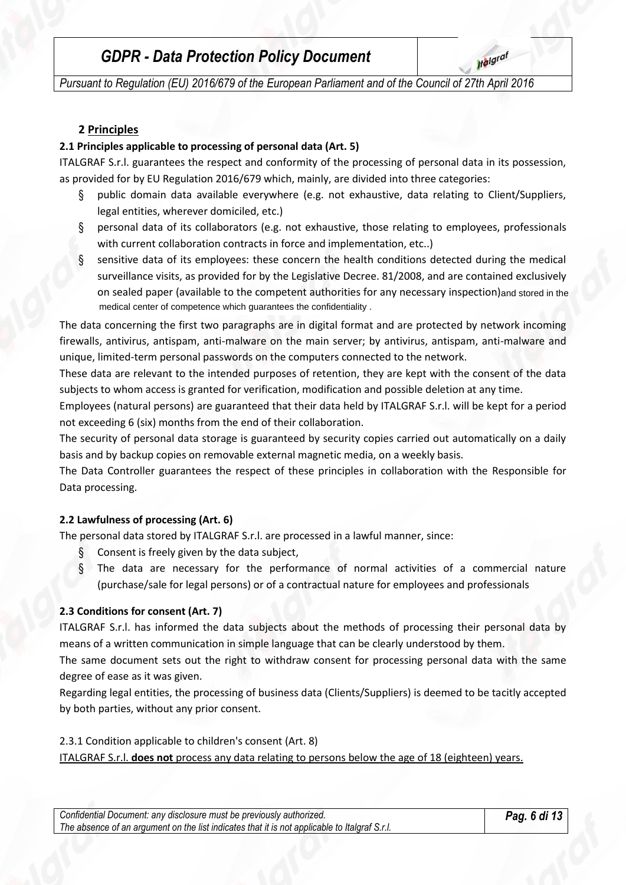**Italgraf** 

*Pursuant to Regulation (EU) 2016/679 of the European Parliament and of the Council of 27th April 2016*

## **2 Principles**

#### **2.1 Principles applicable to processing of personal data (Art. 5)**

ITALGRAF S.r.l. guarantees the respect and conformity of the processing of personal data in its possession, as provided for by EU Regulation 2016/679 which, mainly, are divided into three categories:

- § public domain data available everywhere (e.g. not exhaustive, data relating to Client/Suppliers, legal entities, wherever domiciled, etc.)
- § personal data of its collaborators (e.g. not exhaustive, those relating to employees, professionals with current collaboration contracts in force and implementation, etc..)
- § sensitive data of its employees: these concern the health conditions detected during the medical surveillance visits, as provided for by the Legislative Decree. 81/2008, and are contained exclusively on sealed paper (available to the competent authorities for any necessary inspection) and stored in the medical center of competence which guarantees the confidentiality . medical center of competence which guarantees the confidentiality.

The data concerning the first two paragraphs are in digital format and are protected by network incoming firewalls, antivirus, antispam, anti-malware on the main server; by antivirus, antispam, anti-malware and unique, limited-term personal passwords on the computers connected to the network.

These data are relevant to the intended purposes of retention, they are kept with the consent of the data subjects to whom access is granted for verification, modification and possible deletion at any time.

Employees (natural persons) are guaranteed that their data held by ITALGRAF S.r.l. will be kept for a period not exceeding 6 (six) months from the end of their collaboration.

The security of personal data storage is guaranteed by security copies carried out automatically on a daily basis and by backup copies on removable external magnetic media, on a weekly basis.

The Data Controller guarantees the respect of these principles in collaboration with the Responsible for Data processing.

#### **2.2 Lawfulness of processing (Art. 6)**

The personal data stored by ITALGRAF S.r.l. are processed in a lawful manner, since:

- § Consent is freely given by the data subject,
- § The data are necessary for the performance of normal activities of a commercial nature (purchase/sale for legal persons) or of a contractual nature for employees and professionals

#### **2.3 Conditions for consent (Art. 7)**

ITALGRAF S.r.l. has informed the data subjects about the methods of processing their personal data by means of a written communication in simple language that can be clearly understood by them.

The same document sets out the right to withdraw consent for processing personal data with the same degree of ease as it was given.

Regarding legal entities, the processing of business data (Clients/Suppliers) is deemed to be tacitly accepted by both parties, without any prior consent.

#### 2.3.1 Condition applicable to children's consent (Art. 8)

ITALGRAF S.r.l. **does not** process any data relating to persons below the age of 18 (eighteen) years.

*Confidential Document: any disclosure must be previously authorized. The absence of an argument on the list indicates that it is not applicable to Italgraf S.r.l.*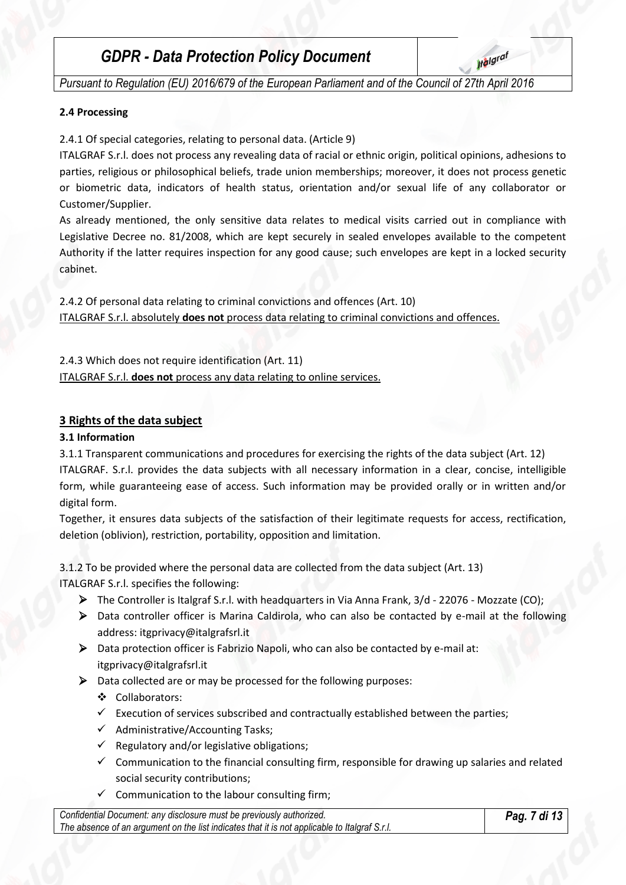**Italgraf** 

*Pursuant to Regulation (EU) 2016/679 of the European Parliament and of the Council of 27th April 2016*

#### **2.4 Processing**

2.4.1 Of special categories, relating to personal data. (Article 9)

ITALGRAF S.r.l. does not process any revealing data of racial or ethnic origin, political opinions, adhesions to parties, religious or philosophical beliefs, trade union memberships; moreover, it does not process genetic or biometric data, indicators of health status, orientation and/or sexual life of any collaborator or Customer/Supplier.

As already mentioned, the only sensitive data relates to medical visits carried out in compliance with Legislative Decree no. 81/2008, which are kept securely in sealed envelopes available to the competent Authority if the latter requires inspection for any good cause; such envelopes are kept in a locked security cabinet.

2.4.2 Of personal data relating to criminal convictions and offences (Art. 10) ITALGRAF S.r.l. absolutely **does not** process data relating to criminal convictions and offences.

2.4.3 Which does not require identification (Art. 11) ITALGRAF S.r.l. **does not** process any data relating to online services.

## **3 Rights of the data subject**

#### **3.1 Information**

3.1.1 Transparent communications and procedures for exercising the rights of the data subject (Art. 12) ITALGRAF. S.r.l. provides the data subjects with all necessary information in a clear, concise, intelligible form, while guaranteeing ease of access. Such information may be provided orally or in written and/or digital form.

Together, it ensures data subjects of the satisfaction of their legitimate requests for access, rectification, deletion (oblivion), restriction, portability, opposition and limitation.

3.1.2 To be provided where the personal data are collected from the data subject (Art. 13) ITALGRAF S.r.l. specifies the following:

- The Controller is Italgraf S.r.l. with headquarters in Via Anna Frank, 3/d 22076 Mozzate (CO);
- Data controller officer is Marina Caldirola, who can also be contacted by e-mail at the following address: itgprivacy@italgrafsrl.it
- $\triangleright$  Data protection officer is Fabrizio Napoli, who can also be contacted by e-mail at: itgprivacy@italgrafsrl.it
- $\triangleright$  Data collected are or may be processed for the following purposes:
	- Collaborators:
	- $\checkmark$  Execution of services subscribed and contractually established between the parties;
	- $\checkmark$  Administrative/Accounting Tasks;
	- $\checkmark$  Regulatory and/or legislative obligations;
	- Communication to the financial consulting firm, responsible for drawing up salaries and related social security contributions;
	- $\checkmark$  Communication to the labour consulting firm;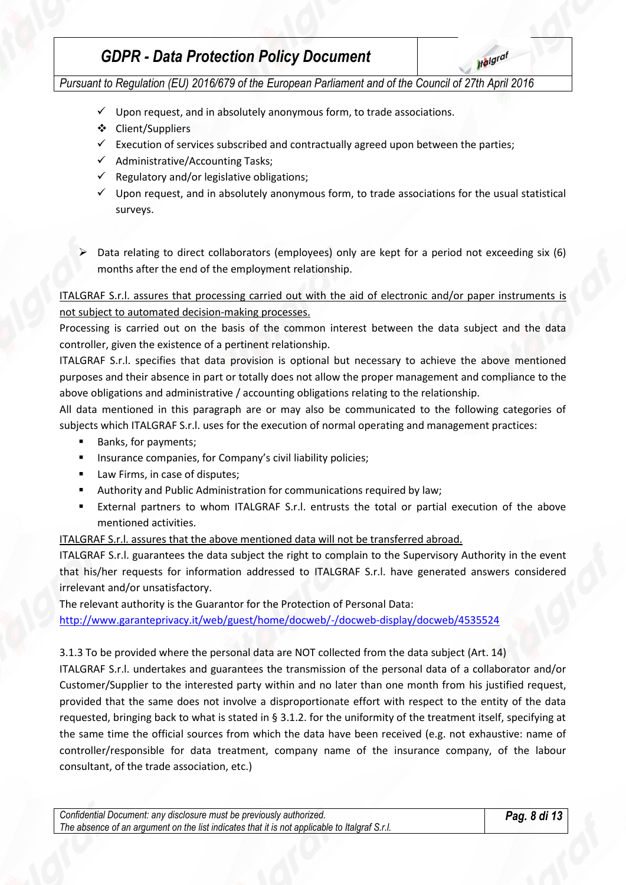**Italgraf** 

*Pursuant to Regulation (EU) 2016/679 of the European Parliament and of the Council of 27th April 2016*

- $\checkmark$  Upon request, and in absolutely anonymous form, to trade associations.
- ❖ Client/Suppliers
- $\checkmark$  Execution of services subscribed and contractually agreed upon between the parties;
- $\checkmark$  Administrative/Accounting Tasks;
- $\checkmark$  Regulatory and/or legislative obligations;
- $\checkmark$  Upon request, and in absolutely anonymous form, to trade associations for the usual statistical surveys.
- Data relating to direct collaborators (employees) only are kept for a period not exceeding six (6) months after the end of the employment relationship.

ITALGRAF S.r.l. assures that processing carried out with the aid of electronic and/or paper instruments is not subject to automated decision-making processes.

Processing is carried out on the basis of the common interest between the data subject and the data controller, given the existence of a pertinent relationship.

ITALGRAF S.r.l. specifies that data provision is optional but necessary to achieve the above mentioned purposes and their absence in part or totally does not allow the proper management and compliance to the above obligations and administrative / accounting obligations relating to the relationship.

All data mentioned in this paragraph are or may also be communicated to the following categories of subjects which ITALGRAF S.r.l. uses for the execution of normal operating and management practices:

- Banks, for payments;
- **EXEDENT INSURFER** Insurance companies, for Company's civil liability policies;
- Law Firms, in case of disputes;
- Authority and Public Administration for communications required by law;
- External partners to whom ITALGRAF S.r.l. entrusts the total or partial execution of the above mentioned activities.

ITALGRAF S.r.l. assures that the above mentioned data will not be transferred abroad.

ITALGRAF S.r.l. guarantees the data subject the right to complain to the Supervisory Authority in the event that his/her requests for information addressed to ITALGRAF S.r.l. have generated answers considered irrelevant and/or unsatisfactory.

The relevant authority is the Guarantor for the Protection of Personal Data:

<http://www.garanteprivacy.it/web/guest/home/docweb/-/docweb-display/docweb/4535524>

3.1.3 To be provided where the personal data are NOT collected from the data subject (Art. 14)

ITALGRAF S.r.l. undertakes and guarantees the transmission of the personal data of a collaborator and/or Customer/Supplier to the interested party within and no later than one month from his justified request, provided that the same does not involve a disproportionate effort with respect to the entity of the data requested, bringing back to what is stated in § 3.1.2. for the uniformity of the treatment itself, specifying at the same time the official sources from which the data have been received (e.g. not exhaustive: name of controller/responsible for data treatment, company name of the insurance company, of the labour consultant, of the trade association, etc.)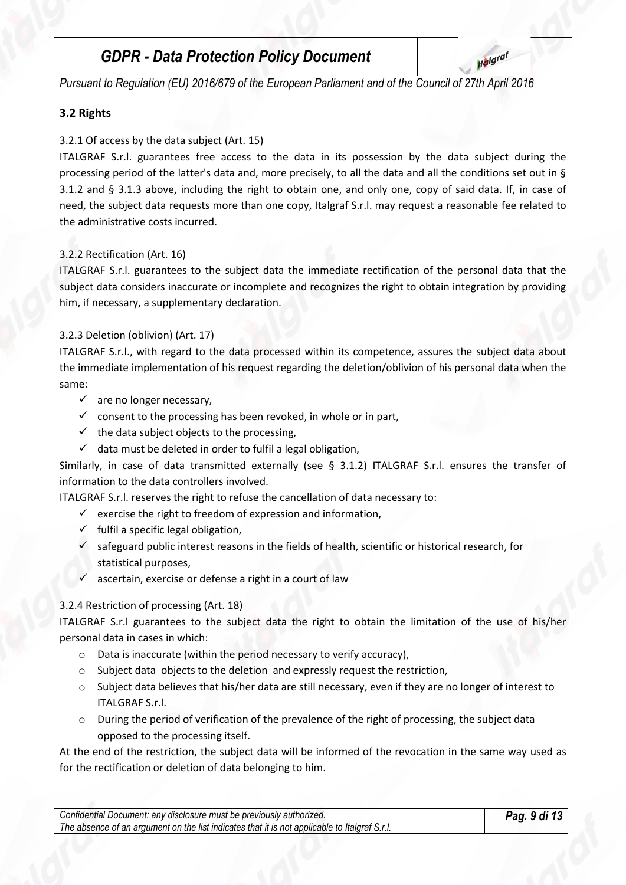**Italgraf** 

*Pursuant to Regulation (EU) 2016/679 of the European Parliament and of the Council of 27th April 2016*

#### **3.2 Rights**

#### 3.2.1 Of access by the data subject (Art. 15)

ITALGRAF S.r.l. guarantees free access to the data in its possession by the data subject during the processing period of the latter's data and, more precisely, to all the data and all the conditions set out in § 3.1.2 and § 3.1.3 above, including the right to obtain one, and only one, copy of said data. If, in case of need, the subject data requests more than one copy, Italgraf S.r.l. may request a reasonable fee related to the administrative costs incurred.

#### 3.2.2 Rectification (Art. 16)

ITALGRAF S.r.l. guarantees to the subject data the immediate rectification of the personal data that the subject data considers inaccurate or incomplete and recognizes the right to obtain integration by providing him, if necessary, a supplementary declaration.

#### 3.2.3 Deletion (oblivion) (Art. 17)

ITALGRAF S.r.l., with regard to the data processed within its competence, assures the subject data about the immediate implementation of his request regarding the deletion/oblivion of his personal data when the same:

- $\checkmark$  are no longer necessary,
- $\checkmark$  consent to the processing has been revoked, in whole or in part,
- $\checkmark$  the data subject objects to the processing,
- $\checkmark$  data must be deleted in order to fulfil a legal obligation,

Similarly, in case of data transmitted externally (see § 3.1.2) ITALGRAF S.r.l. ensures the transfer of information to the data controllers involved.

ITALGRAF S.r.l. reserves the right to refuse the cancellation of data necessary to:

- $\checkmark$  exercise the right to freedom of expression and information,
- $\checkmark$  fulfil a specific legal obligation,
- $\checkmark$  safeguard public interest reasons in the fields of health, scientific or historical research, for statistical purposes,
- ascertain, exercise or defense a right in a court of law

## 3.2.4 Restriction of processing (Art. 18)

ITALGRAF S.r.l guarantees to the subject data the right to obtain the limitation of the use of his/her personal data in cases in which:

- o Data is inaccurate (within the period necessary to verify accuracy),
- o Subject data objects to the deletion and expressly request the restriction,
- o Subject data believes that his/her data are still necessary, even if they are no longer of interest to ITALGRAF S.r.l.
- $\circ$  During the period of verification of the prevalence of the right of processing, the subject data opposed to the processing itself.

At the end of the restriction, the subject data will be informed of the revocation in the same way used as for the rectification or deletion of data belonging to him.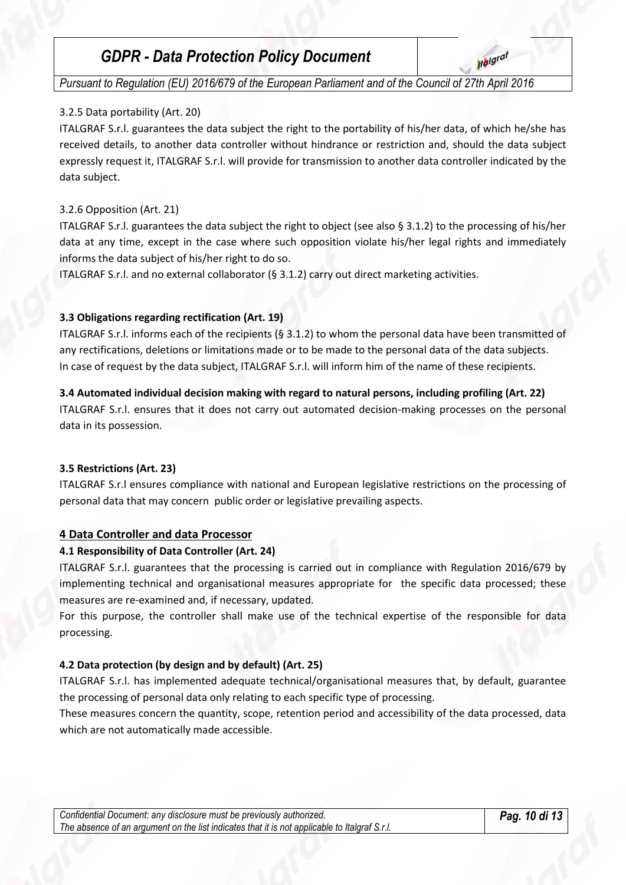**Italgraf** 

*Pursuant to Regulation (EU) 2016/679 of the European Parliament and of the Council of 27th April 2016*

#### 3.2.5 Data portability (Art. 20)

ITALGRAF S.r.l. guarantees the data subject the right to the portability of his/her data, of which he/she has received details, to another data controller without hindrance or restriction and, should the data subject expressly request it, ITALGRAF S.r.l. will provide for transmission to another data controller indicated by the data subject.

#### 3.2.6 Opposition (Art. 21)

ITALGRAF S.r.l. guarantees the data subject the right to object (see also § 3.1.2) to the processing of his/her data at any time, except in the case where such opposition violate his/her legal rights and immediately informs the data subject of his/her right to do so.

ITALGRAF S.r.l. and no external collaborator (§ 3.1.2) carry out direct marketing activities.

#### **3.3 Obligations regarding rectification (Art. 19)**

ITALGRAF S.r.l. informs each of the recipients (§ 3.1.2) to whom the personal data have been transmitted of any rectifications, deletions or limitations made or to be made to the personal data of the data subjects. In case of request by the data subject, ITALGRAF S.r.l. will inform him of the name of these recipients.

#### **3.4 Automated individual decision making with regard to natural persons, including profiling (Art. 22)**

ITALGRAF S.r.l. ensures that it does not carry out automated decision-making processes on the personal data in its possession.

#### **3.5 Restrictions (Art. 23)**

ITALGRAF S.r.l ensures compliance with national and European legislative restrictions on the processing of personal data that may concern public order or legislative prevailing aspects.

## **4 Data Controller and data Processor**

## **4.1 Responsibility of Data Controller (Art. 24)**

ITALGRAF S.r.l. guarantees that the processing is carried out in compliance with Regulation 2016/679 by implementing technical and organisational measures appropriate for the specific data processed; these measures are re-examined and, if necessary, updated.

For this purpose, the controller shall make use of the technical expertise of the responsible for data processing.

## **4.2 Data protection (by design and by default) (Art. 25)**

ITALGRAF S.r.l. has implemented adequate technical/organisational measures that, by default, guarantee the processing of personal data only relating to each specific type of processing.

These measures concern the quantity, scope, retention period and accessibility of the data processed, data which are not automatically made accessible.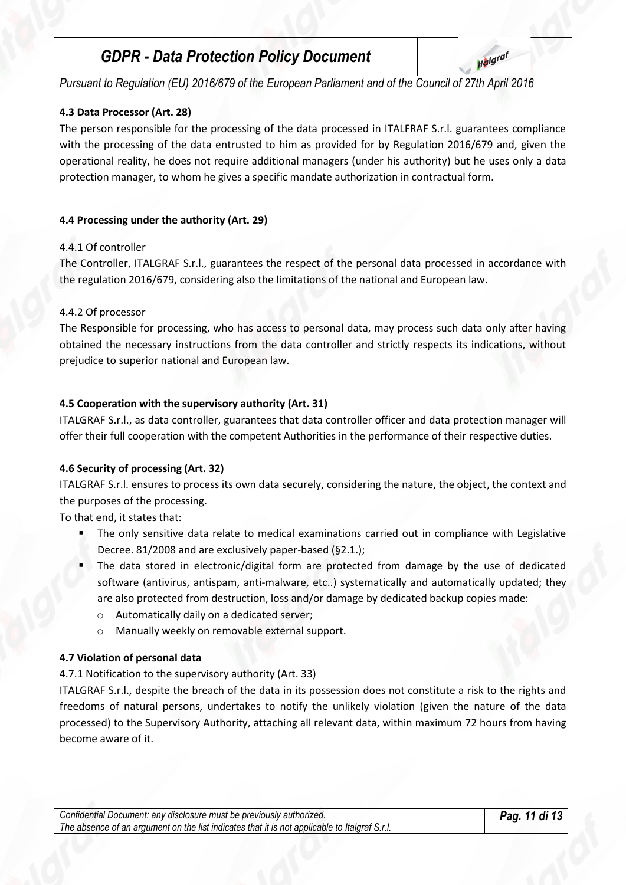**Italgraf** 

*Pursuant to Regulation (EU) 2016/679 of the European Parliament and of the Council of 27th April 2016*

#### **4.3 Data Processor (Art. 28)**

The person responsible for the processing of the data processed in ITALFRAF S.r.l. guarantees compliance with the processing of the data entrusted to him as provided for by Regulation 2016/679 and, given the operational reality, he does not require additional managers (under his authority) but he uses only a data protection manager, to whom he gives a specific mandate authorization in contractual form.

#### **4.4 Processing under the authority (Art. 29)**

#### 4.4.1 Of controller

The Controller, ITALGRAF S.r.l., guarantees the respect of the personal data processed in accordance with the regulation 2016/679, considering also the limitations of the national and European law.

#### 4.4.2 Of processor

The Responsible for processing, who has access to personal data, may process such data only after having obtained the necessary instructions from the data controller and strictly respects its indications, without prejudice to superior national and European law.

#### **4.5 Cooperation with the supervisory authority (Art. 31)**

ITALGRAF S.r.l., as data controller, guarantees that data controller officer and data protection manager will offer their full cooperation with the competent Authorities in the performance of their respective duties.

#### **4.6 Security of processing (Art. 32)**

ITALGRAF S.r.l. ensures to process its own data securely, considering the nature, the object, the context and the purposes of the processing.

To that end, it states that:

- The only sensitive data relate to medical examinations carried out in compliance with Legislative Decree. 81/2008 and are exclusively paper-based (§2.1.);
- The data stored in electronic/digital form are protected from damage by the use of dedicated software (antivirus, antispam, anti-malware, etc..) systematically and automatically updated; they are also protected from destruction, loss and/or damage by dedicated backup copies made:
	- o Automatically daily on a dedicated server;
	- o Manually weekly on removable external support.

#### **4.7 Violation of personal data**

4.7.1 Notification to the supervisory authority (Art. 33)

ITALGRAF S.r.l., despite the breach of the data in its possession does not constitute a risk to the rights and freedoms of natural persons, undertakes to notify the unlikely violation (given the nature of the data processed) to the Supervisory Authority, attaching all relevant data, within maximum 72 hours from having become aware of it.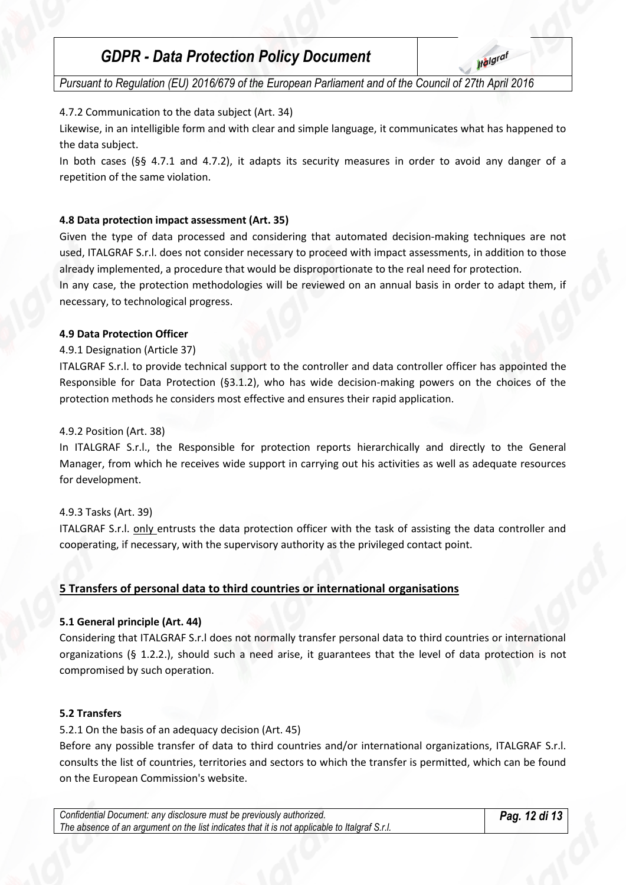*Pursuant to Regulation (EU) 2016/679 of the European Parliament and of the Council of 27th April 2016*

## 4.7.2 Communication to the data subject (Art. 34)

Likewise, in an intelligible form and with clear and simple language, it communicates what has happened to the data subject.

In both cases (§§ 4.7.1 and 4.7.2), it adapts its security measures in order to avoid any danger of a repetition of the same violation.

## **4.8 Data protection impact assessment (Art. 35)**

Given the type of data processed and considering that automated decision-making techniques are not used, ITALGRAF S.r.l. does not consider necessary to proceed with impact assessments, in addition to those already implemented, a procedure that would be disproportionate to the real need for protection.

In any case, the protection methodologies will be reviewed on an annual basis in order to adapt them, if necessary, to technological progress.

## **4.9 Data Protection Officer**

## 4.9.1 Designation (Article 37)

ITALGRAF S.r.l. to provide technical support to the controller and data controller officer has appointed the Responsible for Data Protection (§3.1.2), who has wide decision-making powers on the choices of the protection methods he considers most effective and ensures their rapid application.

#### 4.9.2 Position (Art. 38)

In ITALGRAF S.r.l., the Responsible for protection reports hierarchically and directly to the General Manager, from which he receives wide support in carrying out his activities as well as adequate resources for development.

## 4.9.3 Tasks (Art. 39)

ITALGRAF S.r.l. only entrusts the data protection officer with the task of assisting the data controller and cooperating, if necessary, with the supervisory authority as the privileged contact point.

## **5 Transfers of personal data to third countries or international organisations**

## **5.1 General principle (Art. 44)**

Considering that ITALGRAF S.r.l does not normally transfer personal data to third countries or international organizations (§ 1.2.2.), should such a need arise, it guarantees that the level of data protection is not compromised by such operation.

#### **5.2 Transfers**

## 5.2.1 On the basis of an adequacy decision (Art. 45)

Before any possible transfer of data to third countries and/or international organizations, ITALGRAF S.r.l. consults the list of countries, territories and sectors to which the transfer is permitted, which can be found on the European Commission's website.

*Confidential Document: any disclosure must be previously authorized. The absence of an argument on the list indicates that it is not applicable to Italgraf S.r.l.*